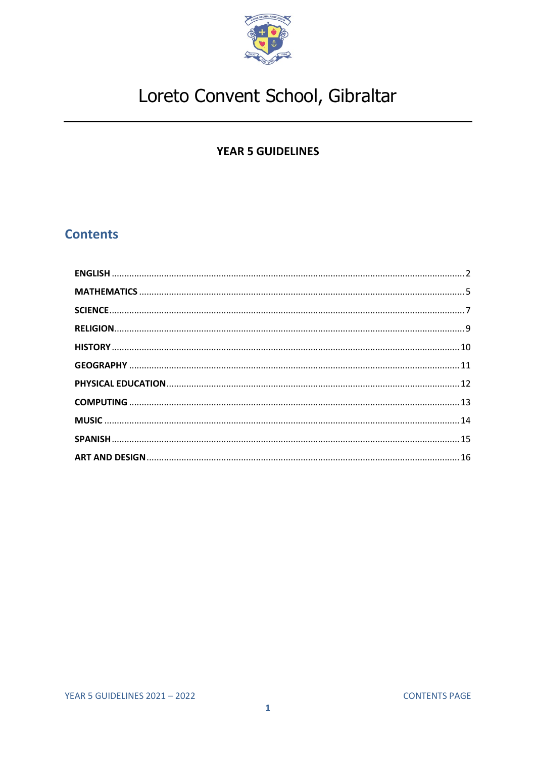

# **YEAR 5 GUIDELINES**

# <span id="page-0-0"></span>**Contents**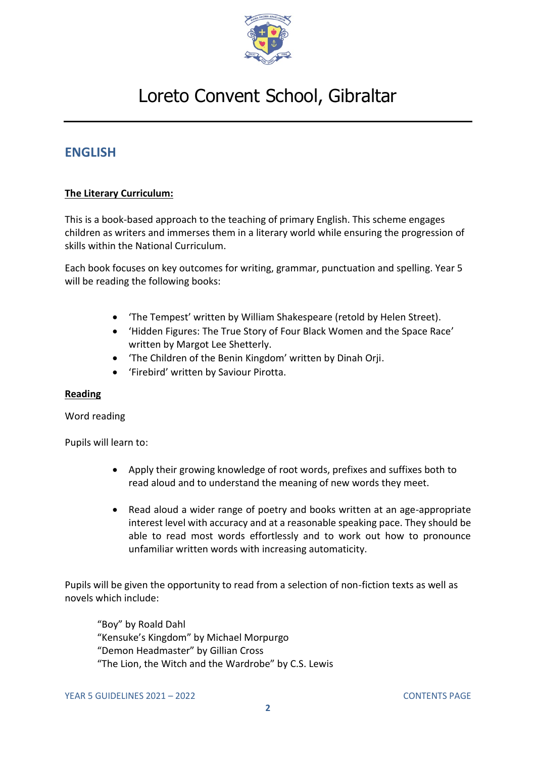

# <span id="page-1-0"></span>**ENGLISH**

## **The Literary Curriculum:**

This is a book-based approach to the teaching of primary English. This scheme engages children as writers and immerses them in a literary world while ensuring the progression of skills within the National Curriculum.

Each book focuses on key outcomes for writing, grammar, punctuation and spelling. Year 5 will be reading the following books:

- 'The Tempest' written by William Shakespeare (retold by Helen Street).
- 'Hidden Figures: The True Story of Four Black Women and the Space Race' written by Margot Lee Shetterly.
- 'The Children of the Benin Kingdom' written by Dinah Orji.
- 'Firebird' written by Saviour Pirotta.

### **Reading**

#### Word reading

Pupils will learn to:

- Apply their growing knowledge of root words, prefixes and suffixes both to read aloud and to understand the meaning of new words they meet.
- Read aloud a wider range of poetry and books written at an age-appropriate interest level with accuracy and at a reasonable speaking pace. They should be able to read most words effortlessly and to work out how to pronounce unfamiliar written words with increasing automaticity.

Pupils will be given the opportunity to read from a selection of non-fiction texts as well as novels which include:

"Boy" by Roald Dahl "Kensuke's Kingdom" by Michael Morpurgo "Demon Headmaster" by Gillian Cross "The Lion, the Witch and the Wardrobe" by C.S. Lewis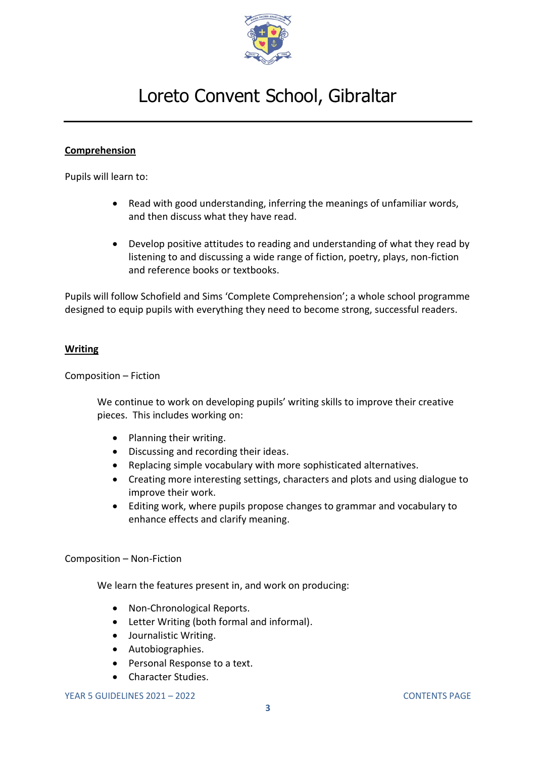

## **Comprehension**

Pupils will learn to:

- Read with good understanding, inferring the meanings of unfamiliar words, and then discuss what they have read.
- Develop positive attitudes to reading and understanding of what they read by listening to and discussing a wide range of fiction, poetry, plays, non-fiction and reference books or textbooks.

Pupils will follow Schofield and Sims 'Complete Comprehension'; a whole school programme designed to equip pupils with everything they need to become strong, successful readers.

### **Writing**

Composition – Fiction

We continue to work on developing pupils' writing skills to improve their creative pieces. This includes working on:

- Planning their writing.
- Discussing and recording their ideas.
- Replacing simple vocabulary with more sophisticated alternatives.
- Creating more interesting settings, characters and plots and using dialogue to improve their work.
- Editing work, where pupils propose changes to grammar and vocabulary to enhance effects and clarify meaning.

Composition – Non-Fiction

We learn the features present in, and work on producing:

- Non-Chronological Reports.
- Letter Writing (both formal and informal).
- Journalistic Writing.
- Autobiographies.
- Personal Response to a text.
- Character Studies.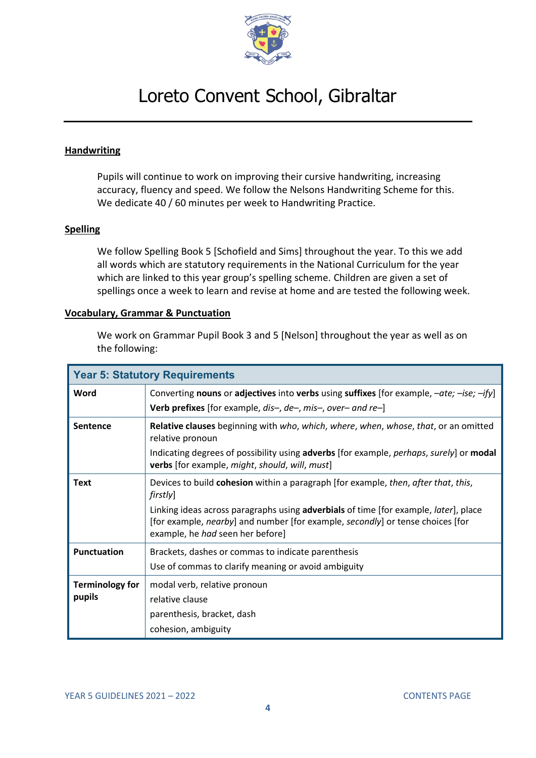

### **Handwriting**

Pupils will continue to work on improving their cursive handwriting, increasing accuracy, fluency and speed. We follow the Nelsons Handwriting Scheme for this. We dedicate 40 / 60 minutes per week to Handwriting Practice.

### **Spelling**

We follow Spelling Book 5 [Schofield and Sims] throughout the year. To this we add all words which are statutory requirements in the National Curriculum for the year which are linked to this year group's spelling scheme. Children are given a set of spellings once a week to learn and revise at home and are tested the following week.

#### **Vocabulary, Grammar & Punctuation**

We work on Grammar Pupil Book 3 and 5 [Nelson] throughout the year as well as on the following:

| <b>Year 5: Statutory Requirements</b> |                                                                                                                                                                                                            |  |
|---------------------------------------|------------------------------------------------------------------------------------------------------------------------------------------------------------------------------------------------------------|--|
| Word                                  | Converting nouns or adjectives into verbs using suffixes [for example, $-\alpha t e$ ; $-i \epsilon$ ; $-i \gamma$ ]                                                                                       |  |
|                                       | Verb prefixes [for example, dis-, de-, mis-, over- and re-]                                                                                                                                                |  |
| <b>Sentence</b>                       | Relative clauses beginning with who, which, where, when, whose, that, or an omitted<br>relative pronoun                                                                                                    |  |
|                                       | Indicating degrees of possibility using adverbs [for example, perhaps, surely] or modal<br>verbs [for example, might, should, will, must]                                                                  |  |
| <b>Text</b>                           | Devices to build cohesion within a paragraph [for example, then, after that, this,<br>firstly]                                                                                                             |  |
|                                       | Linking ideas across paragraphs using adverbials of time [for example, later], place<br>[for example, nearby] and number [for example, secondly] or tense choices [for<br>example, he had seen her before] |  |
| <b>Punctuation</b>                    | Brackets, dashes or commas to indicate parenthesis                                                                                                                                                         |  |
|                                       | Use of commas to clarify meaning or avoid ambiguity                                                                                                                                                        |  |
| <b>Terminology for</b>                | modal verb, relative pronoun                                                                                                                                                                               |  |
| pupils                                | relative clause                                                                                                                                                                                            |  |
|                                       | parenthesis, bracket, dash                                                                                                                                                                                 |  |
|                                       | cohesion, ambiguity                                                                                                                                                                                        |  |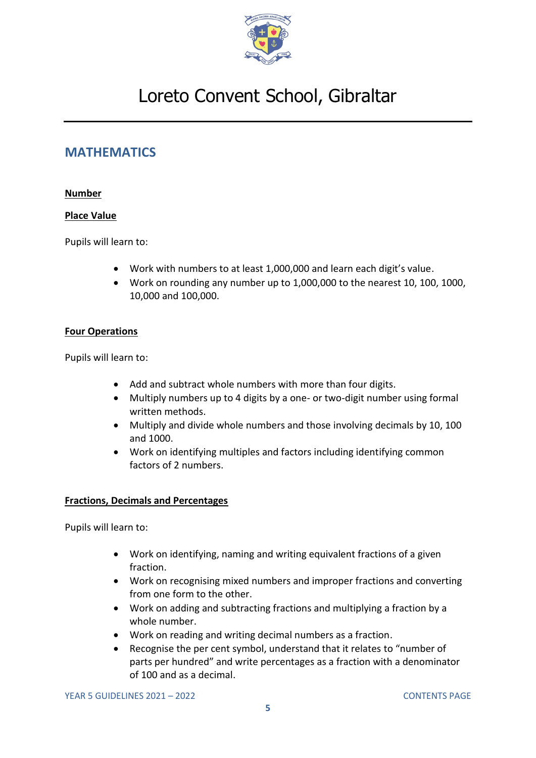

# <span id="page-4-0"></span>**MATHEMATICS**

## **Number**

## **Place Value**

Pupils will learn to:

- Work with numbers to at least 1,000,000 and learn each digit's value.
- Work on rounding any number up to 1,000,000 to the nearest 10, 100, 1000, 10,000 and 100,000.

## **Four Operations**

Pupils will learn to:

- Add and subtract whole numbers with more than four digits.
- Multiply numbers up to 4 digits by a one- or two-digit number using formal written methods.
- Multiply and divide whole numbers and those involving decimals by 10, 100 and 1000.
- Work on identifying multiples and factors including identifying common factors of 2 numbers.

### **Fractions, Decimals and Percentages**

- Work on identifying, naming and writing equivalent fractions of a given fraction.
- Work on recognising mixed numbers and improper fractions and converting from one form to the other.
- Work on adding and subtracting fractions and multiplying a fraction by a whole number.
- Work on reading and writing decimal numbers as a fraction.
- Recognise the per cent symbol, understand that it relates to "number of parts per hundred" and write percentages as a fraction with a denominator of 100 and as a decimal.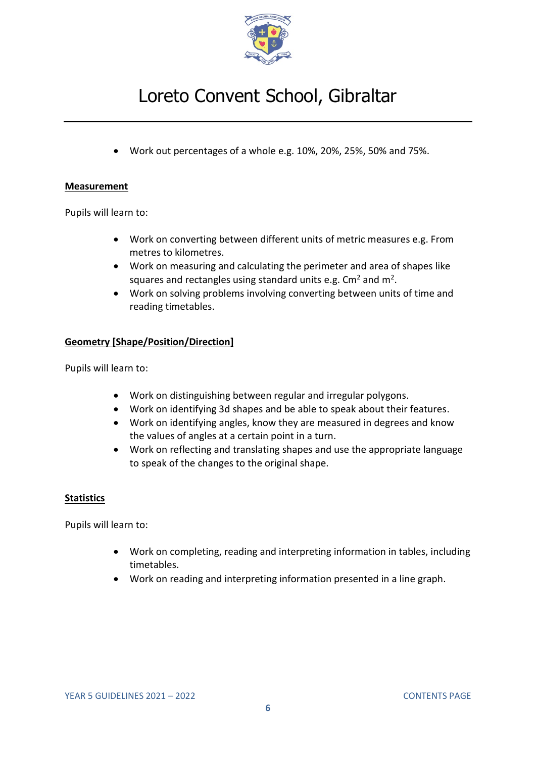

• Work out percentages of a whole e.g. 10%, 20%, 25%, 50% and 75%.

### **Measurement**

Pupils will learn to:

- Work on converting between different units of metric measures e.g. From metres to kilometres.
- Work on measuring and calculating the perimeter and area of shapes like squares and rectangles using standard units e.g. Cm<sup>2</sup> and m<sup>2</sup>.
- Work on solving problems involving converting between units of time and reading timetables.

## **Geometry [Shape/Position/Direction]**

Pupils will learn to:

- Work on distinguishing between regular and irregular polygons.
- Work on identifying 3d shapes and be able to speak about their features.
- Work on identifying angles, know they are measured in degrees and know the values of angles at a certain point in a turn.
- Work on reflecting and translating shapes and use the appropriate language to speak of the changes to the original shape.

## **Statistics**

- Work on completing, reading and interpreting information in tables, including timetables.
- Work on reading and interpreting information presented in a line graph.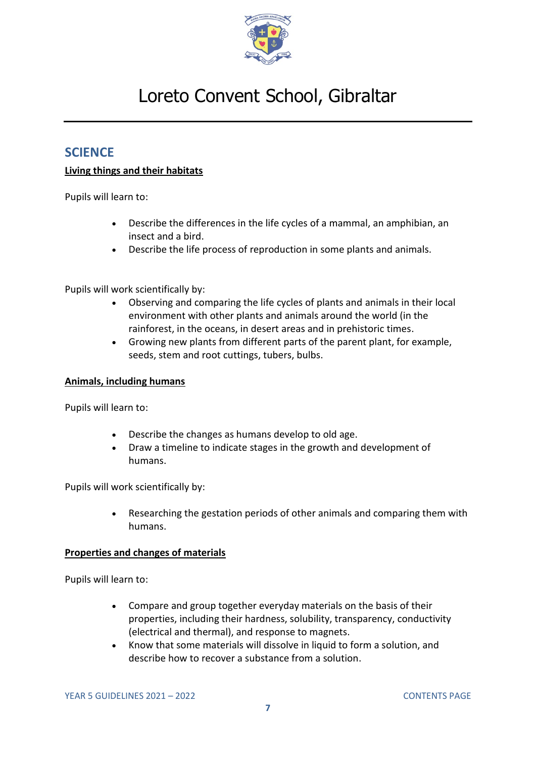

# <span id="page-6-0"></span>**SCIENCE**

## **Living things and their habitats**

Pupils will learn to:

- Describe the differences in the life cycles of a mammal, an amphibian, an insect and a bird.
- Describe the life process of reproduction in some plants and animals.

Pupils will work scientifically by:

- Observing and comparing the life cycles of plants and animals in their local environment with other plants and animals around the world (in the rainforest, in the oceans, in desert areas and in prehistoric times.
- Growing new plants from different parts of the parent plant, for example, seeds, stem and root cuttings, tubers, bulbs.

### **Animals, including humans**

Pupils will learn to:

- Describe the changes as humans develop to old age.
- Draw a timeline to indicate stages in the growth and development of humans.

Pupils will work scientifically by:

• Researching the gestation periods of other animals and comparing them with humans.

### **Properties and changes of materials**

- Compare and group together everyday materials on the basis of their properties, including their hardness, solubility, transparency, conductivity (electrical and thermal), and response to magnets.
- Know that some materials will dissolve in liquid to form a solution, and describe how to recover a substance from a solution.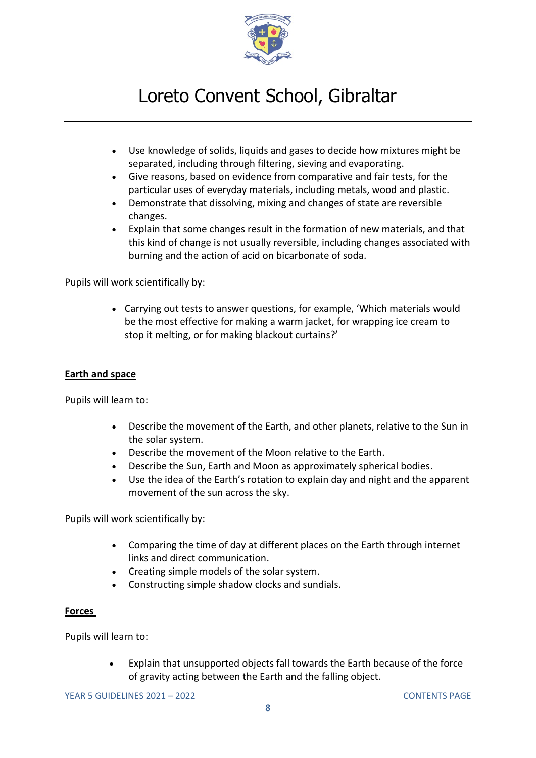

- Use knowledge of solids, liquids and gases to decide how mixtures might be separated, including through filtering, sieving and evaporating.
- Give reasons, based on evidence from comparative and fair tests, for the particular uses of everyday materials, including metals, wood and plastic.
- Demonstrate that dissolving, mixing and changes of state are reversible changes.
- Explain that some changes result in the formation of new materials, and that this kind of change is not usually reversible, including changes associated with burning and the action of acid on bicarbonate of soda.

Pupils will work scientifically by:

• Carrying out tests to answer questions, for example, 'Which materials would be the most effective for making a warm jacket, for wrapping ice cream to stop it melting, or for making blackout curtains?'

### **Earth and space**

Pupils will learn to:

- Describe the movement of the Earth, and other planets, relative to the Sun in the solar system.
- Describe the movement of the Moon relative to the Earth.
- Describe the Sun, Earth and Moon as approximately spherical bodies.
- Use the idea of the Earth's rotation to explain day and night and the apparent movement of the sun across the sky.

Pupils will work scientifically by:

- Comparing the time of day at different places on the Earth through internet links and direct communication.
- Creating simple models of the solar system.
- Constructing simple shadow clocks and sundials.

### **Forces**

Pupils will learn to:

• Explain that unsupported objects fall towards the Earth because of the force of gravity acting between the Earth and the falling object.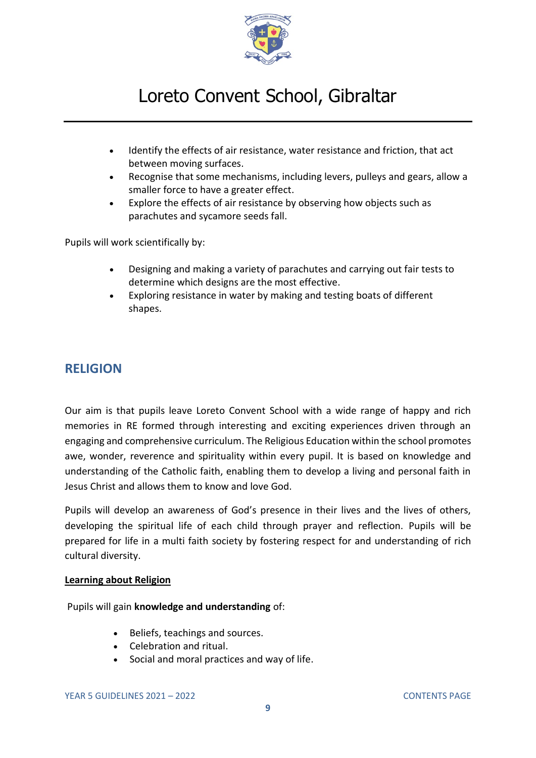

- Identify the effects of air resistance, water resistance and friction, that act between moving surfaces.
- Recognise that some mechanisms, including levers, pulleys and gears, allow a smaller force to have a greater effect.
- Explore the effects of air resistance by observing how objects such as parachutes and sycamore seeds fall.

Pupils will work scientifically by:

- Designing and making a variety of parachutes and carrying out fair tests to determine which designs are the most effective.
- Exploring resistance in water by making and testing boats of different shapes.

# <span id="page-8-0"></span>**RELIGION**

Our aim is that pupils leave Loreto Convent School with a wide range of happy and rich memories in RE formed through interesting and exciting experiences driven through an engaging and comprehensive curriculum. The Religious Education within the school promotes awe, wonder, reverence and spirituality within every pupil. It is based on knowledge and understanding of the Catholic faith, enabling them to develop a living and personal faith in Jesus Christ and allows them to know and love God.

Pupils will develop an awareness of God's presence in their lives and the lives of others, developing the spiritual life of each child through prayer and reflection. Pupils will be prepared for life in a multi faith society by fostering respect for and understanding of rich cultural diversity.

### **Learning about Religion**

Pupils will gain **knowledge and understanding** of:

- Beliefs, teachings and sources.
- Celebration and ritual.
- Social and moral practices and way of life.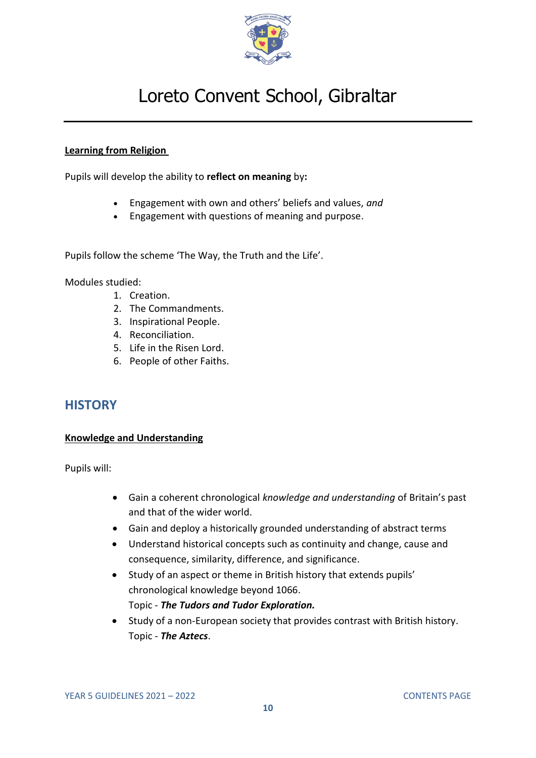

## **Learning from Religion**

Pupils will develop the ability to **reflect on meaning** by**:**

- Engagement with own and others' beliefs and values, *and*
- Engagement with questions of meaning and purpose.

Pupils follow the scheme 'The Way, the Truth and the Life'.

Modules studied:

- 1. Creation.
- 2. The Commandments.
- 3. Inspirational People.
- 4. Reconciliation.
- 5. Life in the Risen Lord.
- 6. People of other Faiths.

## <span id="page-9-0"></span>**HISTORY**

### **Knowledge and Understanding**

Pupils will:

- Gain a coherent chronological *knowledge and understanding* of Britain's past and that of the wider world.
- Gain and deploy a historically grounded understanding of abstract terms
- Understand historical concepts such as continuity and change, cause and consequence, similarity, difference, and significance.
- Study of an aspect or theme in British history that extends pupils' chronological knowledge beyond 1066. Topic - *The Tudors and Tudor Exploration.*
- Study of a non-European society that provides contrast with British history. Topic - *The Aztecs*.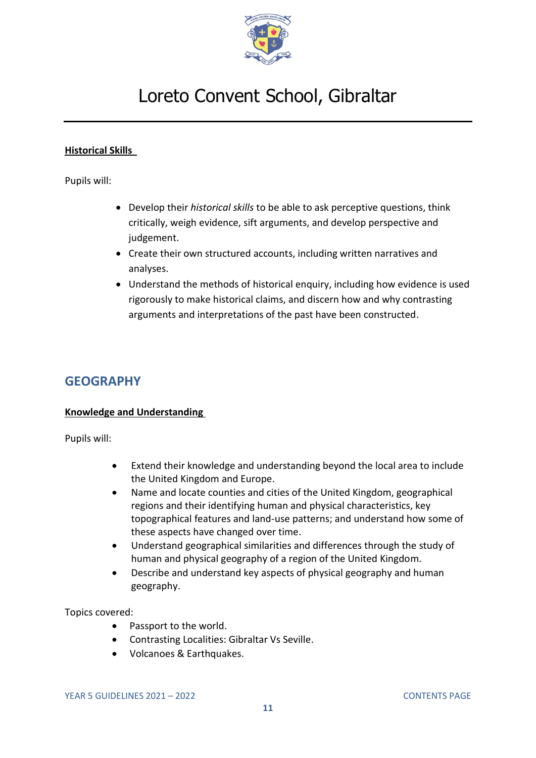

## **Historical Skills**

Pupils will:

- Develop their *historical skills* to be able to ask perceptive questions, think critically, weigh evidence, sift arguments, and develop perspective and judgement.
- Create their own structured accounts, including written narratives and analyses.
- Understand the methods of historical enquiry, including how evidence is used rigorously to make historical claims, and discern how and why contrasting arguments and interpretations of the past have been constructed.

## <span id="page-10-0"></span>**GEOGRAPHY**

### **Knowledge and Understanding**

Pupils will:

- Extend their knowledge and understanding beyond the local area to include the United Kingdom and Europe.
- Name and locate counties and cities of the United Kingdom, geographical regions and their identifying human and physical characteristics, key topographical features and land-use patterns; and understand how some of these aspects have changed over time.
- Understand geographical similarities and differences through the study of human and physical geography of a region of the United Kingdom.
- Describe and understand key aspects of physical geography and human geography.

Topics covered:

- Passport to the world.
- Contrasting Localities: Gibraltar Vs Seville.
- Volcanoes & Earthquakes.

YEAR 5 GUIDELINES 2021 – 2022 [CONTENTS PAGE](#page-0-0)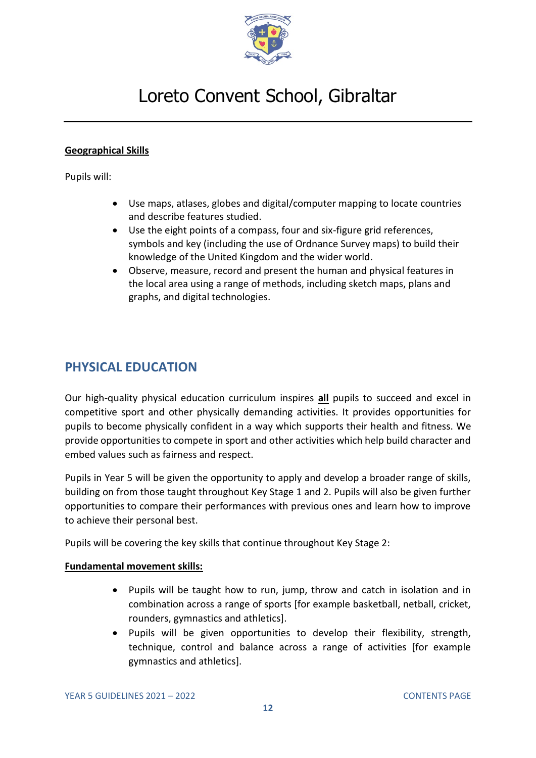

## **Geographical Skills**

Pupils will:

- Use maps, atlases, globes and digital/computer mapping to locate countries and describe features studied.
- Use the eight points of a compass, four and six-figure grid references, symbols and key (including the use of Ordnance Survey maps) to build their knowledge of the United Kingdom and the wider world.
- Observe, measure, record and present the human and physical features in the local area using a range of methods, including sketch maps, plans and graphs, and digital technologies.

# <span id="page-11-0"></span>**PHYSICAL EDUCATION**

Our high-quality physical education curriculum inspires **all** pupils to succeed and excel in competitive sport and other physically demanding activities. It provides opportunities for pupils to become physically confident in a way which supports their health and fitness. We provide opportunities to compete in sport and other activities which help build character and embed values such as fairness and respect.

Pupils in Year 5 will be given the opportunity to apply and develop a broader range of skills, building on from those taught throughout Key Stage 1 and 2. Pupils will also be given further opportunities to compare their performances with previous ones and learn how to improve to achieve their personal best.

Pupils will be covering the key skills that continue throughout Key Stage 2:

### **Fundamental movement skills:**

- Pupils will be taught how to run, jump, throw and catch in isolation and in combination across a range of sports [for example basketball, netball, cricket, rounders, gymnastics and athletics].
- Pupils will be given opportunities to develop their flexibility, strength, technique, control and balance across a range of activities [for example gymnastics and athletics].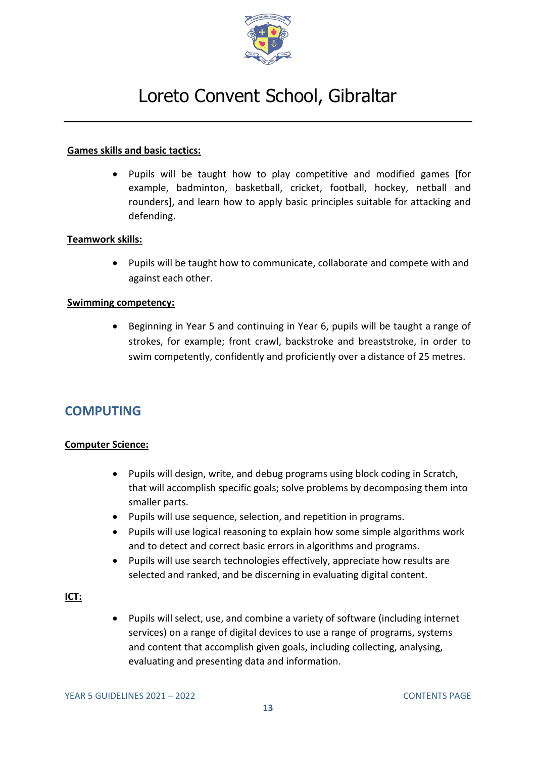

### **Games skills and basic tactics:**

• Pupils will be taught how to play competitive and modified games [for example, badminton, basketball, cricket, football, hockey, netball and rounders], and learn how to apply basic principles suitable for attacking and defending.

### **Teamwork skills:**

• Pupils will be taught how to communicate, collaborate and compete with and against each other.

### **Swimming competency:**

• Beginning in Year 5 and continuing in Year 6, pupils will be taught a range of strokes, for example; front crawl, backstroke and breaststroke, in order to swim competently, confidently and proficiently over a distance of 25 metres.

# <span id="page-12-0"></span>**COMPUTING**

### **Computer Science:**

- Pupils will design, write, and debug programs using block coding in Scratch, that will accomplish specific goals; solve problems by decomposing them into smaller parts.
- Pupils will use sequence, selection, and repetition in programs.
- Pupils will use logical reasoning to explain how some simple algorithms work and to detect and correct basic errors in algorithms and programs.
- Pupils will use search technologies effectively, appreciate how results are selected and ranked, and be discerning in evaluating digital content.

### **ICT:**

• Pupils will select, use, and combine a variety of software (including internet services) on a range of digital devices to use a range of programs, systems and content that accomplish given goals, including collecting, analysing, evaluating and presenting data and information.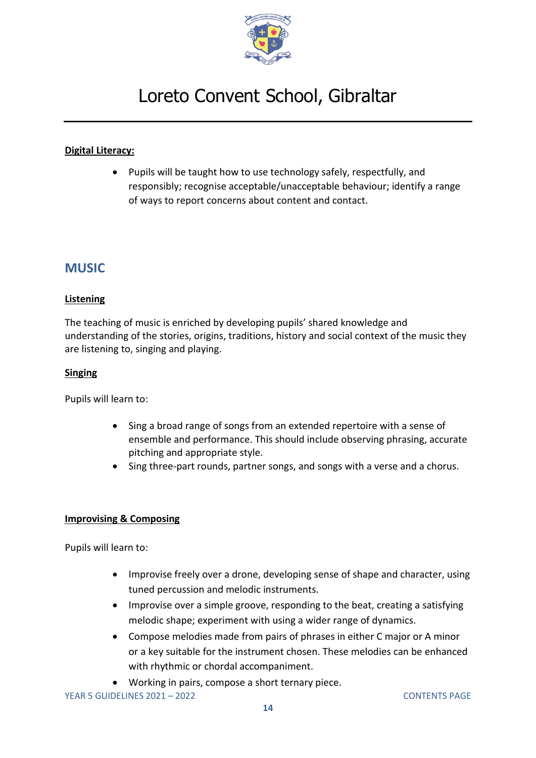

## **Digital Literacy:**

• Pupils will be taught how to use technology safely, respectfully, and responsibly; recognise acceptable/unacceptable behaviour; identify a range of ways to report concerns about content and contact.

## <span id="page-13-0"></span>**MUSIC**

### **Listening**

The teaching of music is enriched by developing pupils' shared knowledge and understanding of the stories, origins, traditions, history and social context of the music they are listening to, singing and playing.

### **Singing**

Pupils will learn to:

- Sing a broad range of songs from an extended repertoire with a sense of ensemble and performance. This should include observing phrasing, accurate pitching and appropriate style.
- Sing three-part rounds, partner songs, and songs with a verse and a chorus.

### **Improvising & Composing**

- Improvise freely over a drone, developing sense of shape and character, using tuned percussion and melodic instruments.
- Improvise over a simple groove, responding to the beat, creating a satisfying melodic shape; experiment with using a wider range of dynamics.
- Compose melodies made from pairs of phrases in either C major or A minor or a key suitable for the instrument chosen. These melodies can be enhanced with rhythmic or chordal accompaniment.
- Working in pairs, compose a short ternary piece.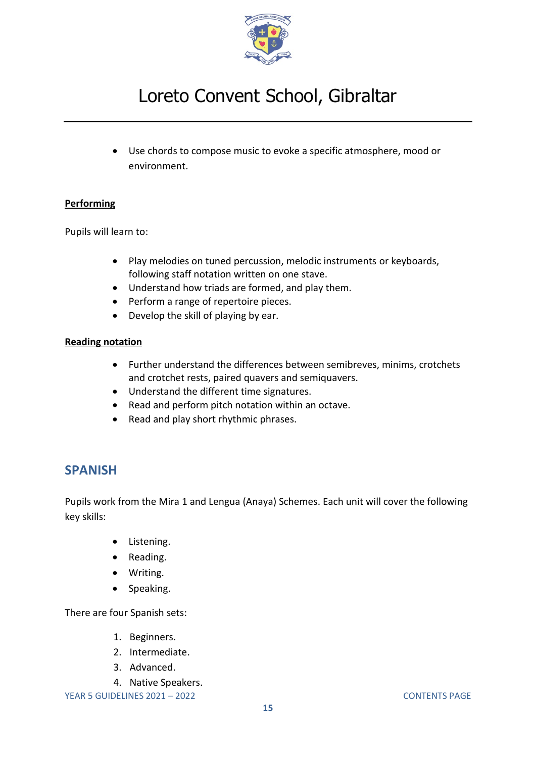

• Use chords to compose music to evoke a specific atmosphere, mood or environment.

## **Performing**

Pupils will learn to:

- Play melodies on tuned percussion, melodic instruments or keyboards, following staff notation written on one stave.
- Understand how triads are formed, and play them.
- Perform a range of repertoire pieces.
- Develop the skill of playing by ear.

## **Reading notation**

- Further understand the differences between semibreves, minims, crotchets and crotchet rests, paired quavers and semiquavers.
- Understand the different time signatures.
- Read and perform pitch notation within an octave.
- Read and play short rhythmic phrases.

## <span id="page-14-0"></span>**SPANISH**

Pupils work from the Mira 1 and Lengua (Anaya) Schemes. Each unit will cover the following key skills:

- Listening.
- Reading.
- Writing.
- Speaking.

There are four Spanish sets:

- 1. Beginners.
- 2. Intermediate.
- 3. Advanced.
- 4. Native Speakers.

YEAR 5 GUIDELINES 2021 – 2022 [CONTENTS PAGE](#page-0-0)